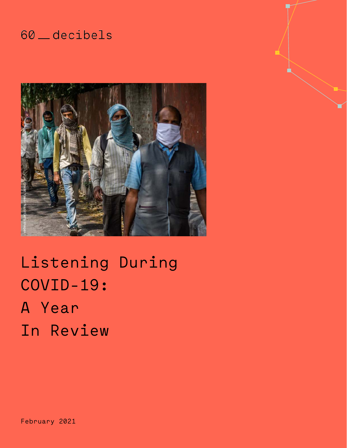## 60 \_ decibels



Listening During COVID-19: A Year Experience<br>
Listening<br>
COVID-19:<br>
A Year<br>
In Review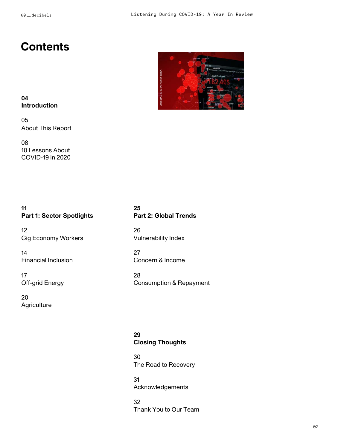## **Contents**



## **04 Introduction**

05 About This Report

08 10 Lessons About COVID-19 in 2020

## **11 Part 1: Sector Spotlights**

12 Gig Economy Workers

## 14 Financial Inclusion

17 Off-grid Energy

20 **Agriculture** 

## **25 Part 2: Global Trends**

26 Vulnerability Index

27 Concern & Income

28 Consumption & Repayment

## **29 Closing Thoughts**

30 The Road to Recovery

31 Acknowledgements

32<br>Thank You to Our Team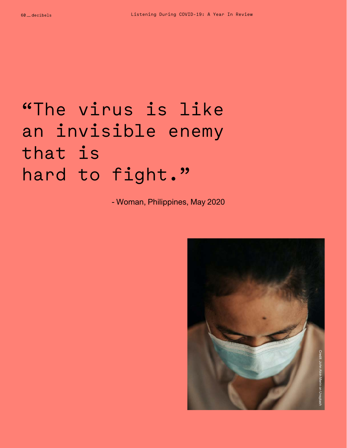# "The virus is like an invisible enemy that is hard to fight."

- Woman, Philippines, May 2020

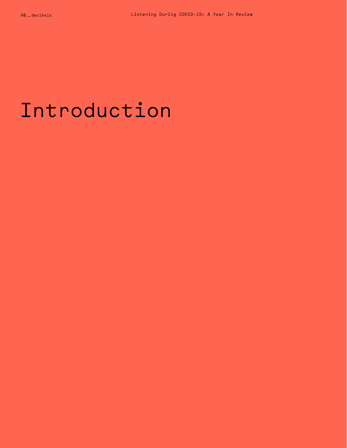# Introduction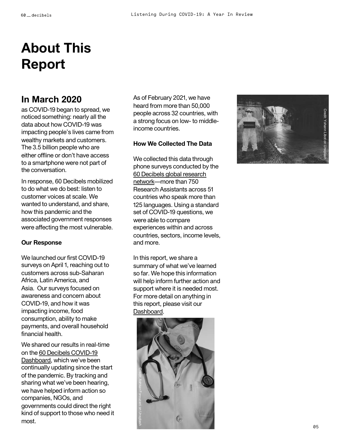## **About This Report**

## **In March 2020**

as COVID -19 began to spread, we noticed something: nearly all the data about how COVID -19 was impacting people's lives came from wealthy markets and customers. The 3.5 billion people who are either offline or don't have access to a smartphone were not part of the conversation.

In response, 60 Decibels mobilized to do what we do best: listen to customer voices at scale. We wanted to understand, and share, how this pandemic and the associated government responses were affecting the most vulnerable.

## **Our Response**

We launched our first COVID -19 surveys on April 1, reaching out to customers across sub -Saharan Africa, Latin America, and Asia. Our surveys focused on awareness and concern about COVID -19, and how it was impacting income, food consumption, ability to make payments, and overall household financial health.

We shared our results in real -time on the 60 Decibels COVID-19 [Dashboard, which we've been](https://app.60decibels.com/covid-19) continually updating since the start of the pandemic. By tracking and sharing what we've been hearing, we have helped inform action so companies, NGOs, and governments could direct the right kind of support to those who need it most.

As of February 2021, we have heard from more than 50,000 people across 32 countries, with a strong focus on low- to middleincome countries.

## **How We Collected The Data**

We collected this data through phone surveys conducted by the 60 Decibels global research [network—more than 750](https://www.youtube.com/watch?v=B9z-DJYEIJc&t=24s)  Research Assistants across 51 countries who speak more than 125 languages. Using a standard set of COVID -19 questions, we were able to compare experiences within and across countries, sectors, income levels, and more.

In this report, we share a summary of what we've learned so far. We hope this information will help inform further action and support where it is needed most. For more detail on anything in this report, please visit our [Dashboard](https://app.60decibels.com/covid-19).



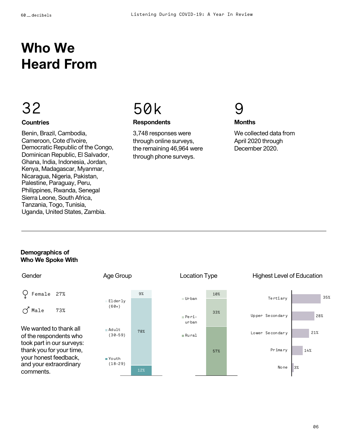## **Who We Heard From**

## 32

## **Countries**

Benin, Brazil, Cambodia, Cameroon, Cote d'Ivoire, Democratic Republic of the Congo, Dominican Republic, El Salvador, Ghana, India, Indonesia, Jordan, Kenya, Madagascar, Myanmar, Nicaragua, Nigeria, Pakistan, Palestine, Paraguay, Peru, Philippines, Rwanda, Senegal Sierra Leone, South Africa, Tanzania, Togo, Tunisia, Uganda, United States, Zambia.

## 50k

## **Respondents**

3,748 responses were through online surveys, the remaining 46,964 were through phone surveys.



### **Months**

We collected data from April 2020 through December 2020.

## **Demographics of Who We Spoke With**

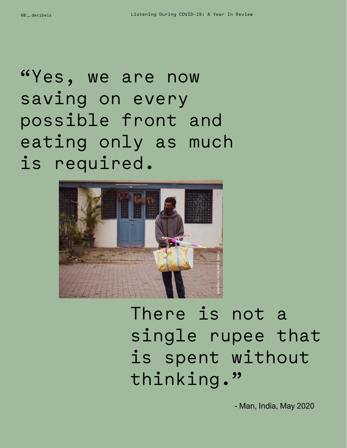"Yes, we are now saving on every possible front and eating only as much is required.



There is not a single rupee that is spent without thinking."

- Man, India, May 2020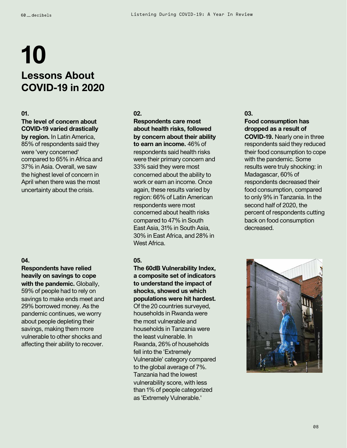## **10 Lessons About COVID-19 in 2020**

#### **01.**

## **The level of concern about COVID-19 varied drastically**

**by region.** In Latin America, 85% of respondents said they were 'very concerned' compared to 65% in Africa and 37% in Asia. Overall, we saw the highest level of concern in April when there was the most uncertainty about the crisis.

## **04.**

**Respondents have relied heavily on savings to cope with the pandemic.** Globally, 59% of people had to rely on savings to make ends meet and 29% borrowed money. As the pandemic continues, we worry about people depleting their savings, making them more vulnerable to other shocks and affecting their ability to recover.

#### **02.**

**Respondents care most about health risks, followed by concern about their ability to earn an income.** 46% of respondents said health risks were their primary concern and 33% said they were most concerned about the ability to work or earn an income. Once again, these results varied by region: 66% of Latin American respondents were most concerned about health risks compared to 47% in South East Asia, 31% in South Asia, 30% in East Africa, and 28% in West Africa.

## **05.**

**The 60dB Vulnerability Index, a composite set of indicators to understand the impact of shocks, showed us which populations were hit hardest.**  Of the 20 countries surveyed, households in Rwanda were the most vulnerable and households in Tanzania were the least vulnerable. In Rwanda, 26% of households fell into the 'Extremely Vulnerable' category compared to the global average of 7%. Tanzania had the lowest vulnerability score, with less than 1% of people categorized as 'Extremely Vulnerable.'

**03.**

### **Food consumption has dropped as a result of**

**COVID-19.** Nearly one in three respondents said they reduced their food consumption to cope with the pandemic. Some results were truly shocking: in Madagascar, 60% of respondents decreased their food consumption, compared to only 9% in Tanzania. In the second half of 2020, the percent of respondents cutting back on food consumption decreased.

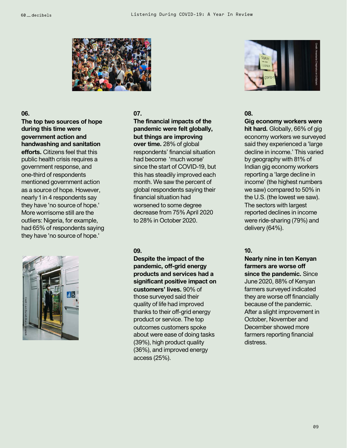

## **06.**

**The top two sources of hope during this time were government action and handwashing and sanitation efforts.** Citizens feel that this public health crisis requires a government response, and one-third of respondents mentioned government action as a source of hope. However, nearly 1 in 4 respondents say they have 'no source of hope.' More worrisome still are the outliers: Nigeria, for example, had 65% of respondents saying they have 'no source of hope.'



## **07.**

**The financial impacts of the pandemic were felt globally, but things are improving over time.** 28% of global respondents' financial situation had become 'much worse' since the start of COVID-19, but this has steadily improved each month. We saw the percent of global respondents saying their financial situation had worsened to some degree decrease from 75% April 2020 to 28% in October 2020.

## **09.**

**Despite the impact of the pandemic, off-grid energy products and services had a significant positive impact on customers' lives.** 90% of those surveyed said their quality of life had improved thanks to their off-grid energy product or service. The top outcomes customers spoke about were ease of doing tasks (39%), high product quality (36%), and improved energy access (25%).



#### **08.**

**Gig economy workers were** 

**hit hard.** Globally, 66% of gig economy workers we surveyed said they experienced a 'large decline in income.' This varied by geography with 81% of Indian gig economy workers reporting a 'large decline in income' (the highest numbers we saw) compared to 50% in the U.S. (the lowest we saw). The sectors with largest reported declines in income were ride-sharing (79%) and delivery (64%).

## **10.**

**Nearly nine in ten Kenyan farmers are worse off since the pandemic.** Since June 2020, 88% of Kenyan farmers surveyed indicated they are worse off financially because of the pandemic. After a slight improvement in October, November and December showed more farmers reporting financial distress.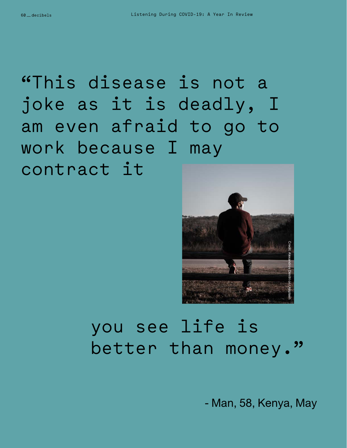"This disease is not a joke as it is deadly, I am even afraid to go to work because I may contract it



# you see life is better than money."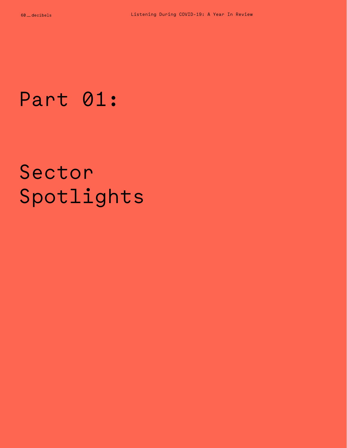# Part 01:

# Sector Spotlights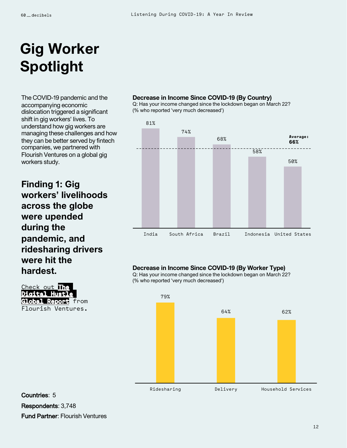## **Gig Worker Spotlight**

The COVID-19 pandemic and the accompanying economic dislocation triggered a significant shift in gig workers' lives. To understand how gig workers are managing these challenges and how they can be better served by fintech companies, we partnered with Flourish Ventures on a global gig workers study.

**Finding 1: Gig workers' livelihoods across the globe were upended during the pandemic, and ridesharing drivers were hit the hardest.**



#### **Decrease in Income Since COVID-19 (By Country)**

Q: Has your income changed since the lockdown began on March 22? (% who reported 'very much decreased')



### **Decrease in Income Since COVID-19 (By Worker Type)**

Q: Has your income changed since the lockdown began on March 22? (% who reported 'very much decreased')



## Countries: 5 Respondents: 3,748 Fund Partner: Flourish Ventures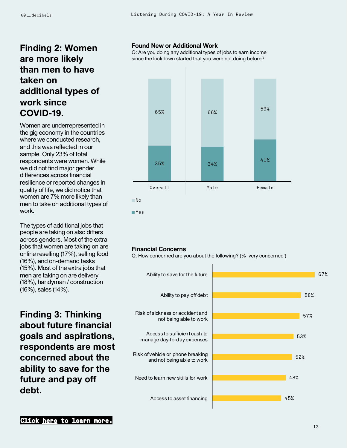## **Finding 2: Women are more likely than men to have taken on additional types of work since COVID-19.**

Women are underrepresented in the gig economy in the countries where we conducted research, and this was reflected in our sample. Only 23% of total respondents were women. While we did not find major gender differences across financial resilience or reported changes in quality of life, we did notice that women are 7% more likely than men to take on additional types of work.

The types of additional jobs that people are taking on also differs across genders. Most of the extra jobs that women are taking on are online reselling (17%), selling food (16%), and on-demand tasks (15%). Most of the extra jobs that men are taking on are delivery (18%), handyman / construction (16%), sales (14%).

**Finding 3: Thinking about future financial goals and aspirations, respondents are most concerned about the ability to save for the future and pay off debt.**

## **Found New or Additional Work**

Q: Are you doing any additional types of jobs to earn income since the lockdown started that you were not doing before?



#### **Financial Concerns**

Q: How concerned are you about the following? (% 'very concerned')

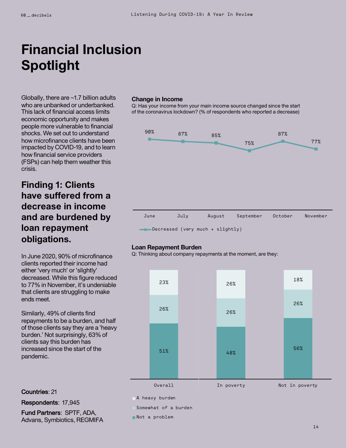## **Financial Inclusion Spotlight**

Globally, there are ~1.7 billion adults who are unbanked or underbanked. This lack of financial access limits economic opportunity and makes people more vulnerable to financial shocks. We set out to understand how microfinance clients have been impacted by COVID-19, and to learn how financial service providers (FSPs) can help them weather this crisis.

## **Finding 1: Clients have suffered from a decrease in income and are burdened by loan repayment obligations.**

In June 2020, 90% of microfinance clients reported their income had either 'very much' or 'slightly' decreased. While this figure reduced to 77% in November, it's undeniable that clients are struggling to make ends meet.

Similarly, 49% of clients find repayments to be a burden, and half of those clients say they are a 'heavy burden.' Not surprisingly, 63% of clients say this burden has increased since the start of the pandemic.

#### **Change in Income**

Q: Has your income from your main income source changed since the start of the coronavirus lockdown? (% of respondents who reported a decrease)



#### **Loan Repayment Burden**

Q: Thinking about company repayments at the moment, are they:



### Countries: 21

Respondents: 17,945

Fund Partners: SPTF, ADA, Advans, Symbiotics, REGMIFA A heavy burden

Somewhat of a burden

Not a problem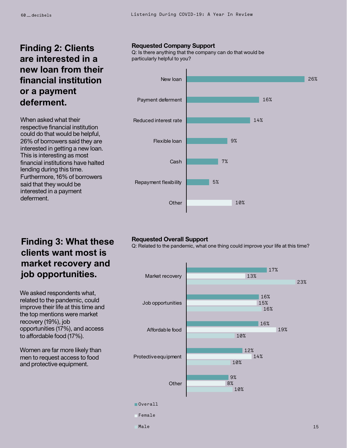## **Finding 2: Clients are interested in a new loan from their financial institution or a payment deferment.**

When asked what their respective financial institution could do that would be helpful, 26% of borrowers said they are interested in getting a new loan. This is interesting as most financial institutions have halted lending during this time. Furthermore, 16% of borrowers said that they would be interested in a payment deferment.

## **Requested Company Support**

Q: Is there anything that the company can do that would be particularly helpful to you?



## **Finding 3: What these clients want most is market recovery and job opportunities.**

We asked respondents what, related to the pandemic, could improve their life at this time and the top mentions were market recovery (19%), job opportunities (17%), and access to affordable food (17%).

Women are far more likely than men to request access to food and protective equipment.

## **Requested Overall Support**

Q: Related to the pandemic, what one thing could improve your life at this time?

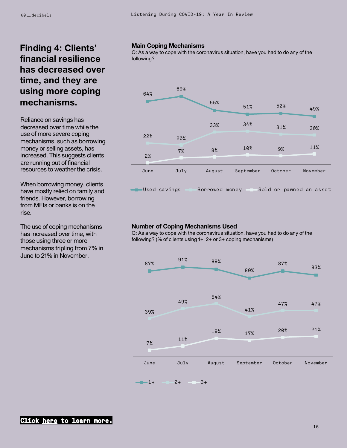## **Finding 4: Clients' financial resilience has decreased over time, and they are using more coping mechanisms.**

Reliance on savings has decreased over time while the use of more severe coping mechanisms, such as borrowing money or selling assets, has increased. This suggests clients are running out of financial resources to weather the crisis.

When borrowing money, clients have mostly relied on family and friends. However, borrowing from MFIs or banks is on the rise.

The use of coping mechanisms has increased over time, with those using three or more mechanisms tripling from 7% in June to 21% in November.

### **Main Coping Mechanisms**

Q: As a way to cope with the coronavirus situation, have you had to do any of the following?



### **Number of Coping Mechanisms Used**

Q: As a way to cope with the coronavirus situation, have you had to do any of the following? (% of clients using 1+, 2+ or 3+ coping mechanisms)

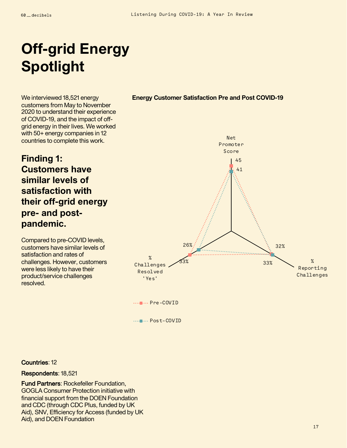## **Off-grid Energy Spotlight**

We interviewed 18,521 energy customers from May to November 2020 to understand their experience of COVID-19, and the impact of offgrid energy in their lives. We worked with 50+ energy companies in 12 countries to complete this work.

## **Finding 1: Customers have similar levels of satisfaction with their off-grid energy pre- and postpandemic.**

Compared to pre-COVID levels, customers have similar levels of satisfaction and rates of challenges. However, customers were less likely to have their product/service challenges resolved.

## **Energy Customer Satisfaction Pre and Post COVID-19**



.... Pre-COVID

.... Post-COVID

### Countries: 12

### Respondents: 18,521

Fund Partners: Rockefeller Foundation, GOGLA Consumer Protection initiative with financial support from the DOEN Foundation and CDC (through CDC Plus, funded by UK Aid), SNV, Efficiency for Access (funded by UK Aid), and DOEN Foundation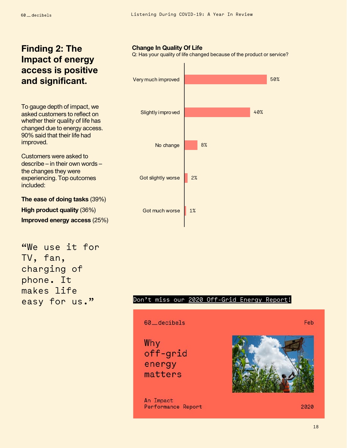## **Finding 2: The Impact of energy access is positive and significant.**

To gauge depth of impact, we asked customers to reflect on whether their quality of life has changed due to energy access. 90% said that their life had improved.

Customers were asked to describe – in their own words – the changes they were experiencing. Top outcomes included:

**The ease of doing tasks** (39%) **High product quality** (36%) **Improved energy access** (25%)

"We use it for TV, fan, charging of phone. It makes life easy for us."

### **Change In Quality Of Life**

Q: Has your quality of life changed because of the product or service?



## Don't miss our [2020 Off-Grid Energy Report!](https://60decibels.com/work)

60\_decibels

Why off-grid energy matters

An Impact Performance Report



2020

Feb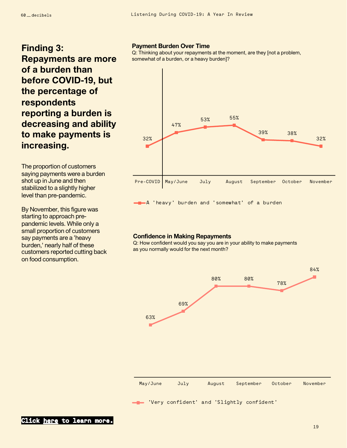## **Finding 3: Repayments are more of a burden than before COVID-19, but the percentage of respondents reporting a burden is decreasing and ability to make payments is increasing.**

The proportion of customers saying payments were a burden shot up in June and then stabilized to a slightly higher level than pre-pandemic.

By November, this figure was starting to approach prepandemic levels. While only a small proportion of customers say payments are a 'heavy burden,' nearly half of these customers reported cutting back on food consumption.

## **Payment Burden Over Time**

Q: Thinking about your repayments at the moment, are they [not a problem, somewhat of a burden, or a heavy burden]?



A 'heavy' burden and 'somewhat' of a burden

#### **Confidence in Making Repayments**

Q: How confident would you say you are in your ability to make payments as you normally would for the next month?

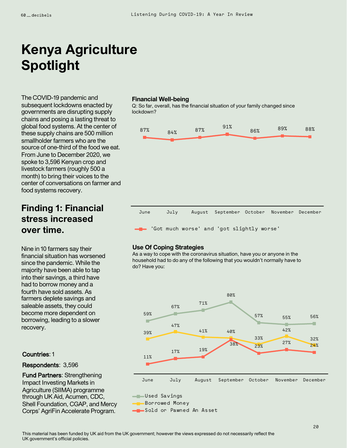## **Kenya Agriculture Spotlight**

The COVID-19 pandemic and subsequent lockdowns enacted by governments are disrupting supply chains and posing a lasting threat to global food systems. At the center of these supply chains are 500 million smallholder farmers who are the source of one-third of the food we eat. From June to December 2020, we spoke to 3,596 Kenyan crop and livestock farmers (roughly 500 a month) to bring their voices to the center of conversations on farmer and food systems recovery.

## **Finding 1: Financial stress increased over time.**

Nine in 10 farmers say their financial situation has worsened since the pandemic. While the majority have been able to tap into their savings, a third have had to borrow money and a fourth have sold assets. As farmers deplete savings and saleable assets, they could become more dependent on borrowing, leading to a slower recovery.

## Countries: 1

### Respondents: 3,596

Fund Partners: Strengthening Impact Investing Markets in Agriculture (SIIMA) programme through UK Aid, Acumen, CDC, Shell Foundation, CGAP, and Mercy Corps' AgriFin Accelerate Program.

#### **Financial Well-being**

Q: So far, overall, has the financial situation of your family changed since lockdown?



### **Use Of Coping Strategies**

As a way to cope with the coronavirus situation, have you or anyone in the household had to do any of the following that you wouldn't normally have to do? Have you:

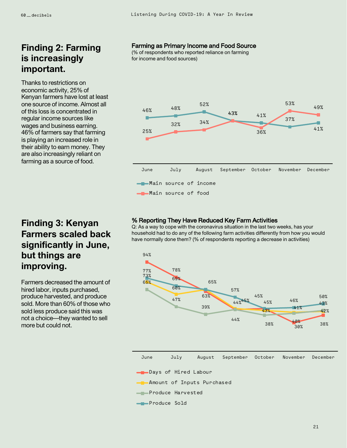## **Finding 2: Farming is increasingly important.**

Thanks to restrictions on economic activity, 25% of Kenyan farmers have lost at least one source of income. Almost all of this loss is concentrated in regular income sources like wages and business earning. 46% of farmers say that farming is playing an increased role in their ability to earn money. They are also increasingly reliant on farming as a source of food.

## Farming as Primary Income and Food Source

(% of respondents who reported reliance on farming for income and food sources)



## % Reporting They Have Reduced Key Farm Activities

Q: As a way to cope with the coronavirus situation in the last two weeks, has your household had to do any of the following farm activities differently from how you would have normally done them? (% of respondents reporting a decrease in activities)



## **Finding 3: Kenyan Farmers scaled back significantly in June, but things are improving.**

Farmers decreased the amount of hired labor, inputs purchased, produce harvested, and produce sold. More than 60% of those who sold less produce said this was not a choice—they wanted to sell more but could not.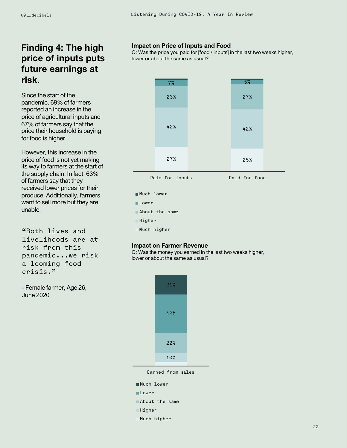## **Finding 4: The high price of inputs puts future earnings at risk.**

Since the start of the pandemic, 69% of farmers reported an increase in the price of agricultural inputs and 67% of farmers say that the price their household is paying for food is higher.

However, this increase in the price of food is not yet making its way to farmers at the start of the supply chain. In fact, 63% of farmers say that they received lower prices for their produce. Additionally, farmers want to sell more but they are unable.

"Both lives and livelihoods are at risk from this pandemic...we risk a looming food crisis."

- Female farmer, Age 26, June 2020

### **Impact on Price of Inputs and Food**

Q: Was the price you paid for [food / inputs] in the last two weeks higher, lower or about the same as usual?



Much lower **Lower** About the same **Higher** Much higher

#### **Impact on Farmer Revenue**

Q: Was the money you earned in the last two weeks higher, lower or about the same as usual?



Earned from sales

| ∎Much lower    |  |  |  |  |  |  |
|----------------|--|--|--|--|--|--|
| ∎Lower         |  |  |  |  |  |  |
| About the same |  |  |  |  |  |  |
| Higher<br>٦    |  |  |  |  |  |  |
| Much higher    |  |  |  |  |  |  |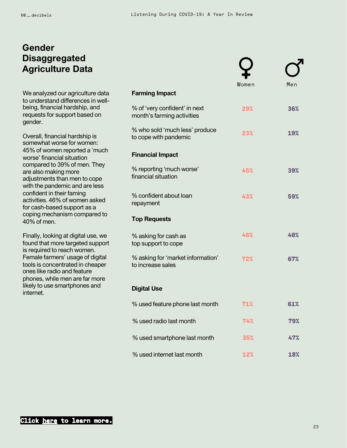## **Gender Disaggregated Agriculture Data**

We analyzed our agriculture data to understand differences in wellbeing, financial hardship, and requests for support based on gender.

Overall, financial hardship is somewhat worse for women: 45% of women reported a 'much worse' financial situation compared to 39% of men. They are also making more adjustments than men to cope with the pandemic and are less confident in their faming activities. 46% of women asked for cash-based support as a coping mechanism compared to 40% of men.

Finally, looking at digital use, we found that more targeted support is required to reach women. Female farmers' usage of digital tools is concentrated in cheaper ones like radio and feature phones, while men are far more likely to use smartphones and internet.

|                                                             | Women | Men        |
|-------------------------------------------------------------|-------|------------|
| <b>Farming Impact</b>                                       |       |            |
| % of 'very confident' in next<br>month's farming activities | 29%   | 36%        |
| % who sold 'much less' produce<br>to cope with pandemic     | 23%   | <b>19%</b> |
| <b>Financial Impact</b>                                     |       |            |
| % reporting 'much worse'<br>financial situation             | 45%   | 39%        |
| % confident about loan<br>repayment                         | 43%   | 59%        |
| <b>Top Requests</b>                                         |       |            |
| % asking for cash as<br>top support to cope                 | 46%   | 40%        |
| % asking for 'market information'<br>to increase sales      | 72%   | 67%        |
| <b>Digital Use</b>                                          |       |            |
| % used feature phone last month                             | 71%   | 61%        |
| % used radio last month                                     | 74%   | 79%        |
| % used smartphone last month                                | 35%   | 47%        |
| % used internet last month                                  | 12%   | 18%        |

7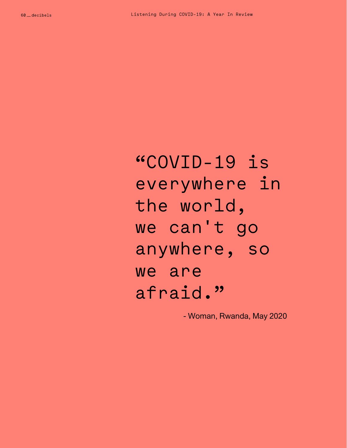"COVID-19 is everywhere in the world, we can't go anywhere, so we are afraid."

- Woman, Rwanda, May 2020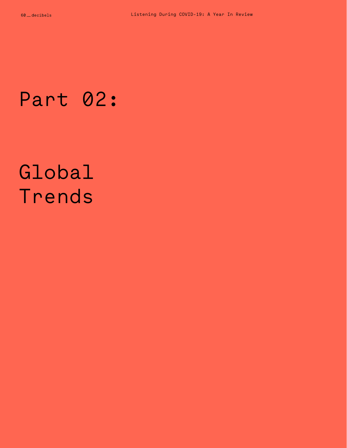# Part 02:

# Global Trends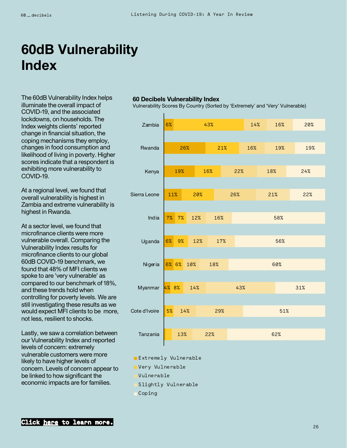## **60dB Vulnerability Index**

The 60dB Vulnerability Index helps illuminate the overall impact of COVID-19, and the associated lockdowns, on households. The Index weights clients' reported change in financial situation, the coping mechanisms they employ, changes in food consumption and likelihood of living in poverty. Higher scores indicate that a respondent is exhibiting more vulnerability to COVID-19.

At a regional level, we found that overall vulnerability is highest in Zambia and extreme vulnerability is highest in Rwanda.

At a sector level, we found that microfinance clients were more vulnerable overall. Comparing the Vulnerability Index results for microfinance clients to our global 60dB COVID-19 benchmark, we found that 48% of MFI clients we spoke to are 'very vulnerable' as compared to our benchmark of 18%, and these trends hold when controlling for poverty levels. We are still investigating these results as we would expect MFI clients to be more, not less, resilient to shocks.

Lastly, we saw a correlation between our Vulnerability Index and reported levels of concern: extremely vulnerable customers were more likely to have higher levels of concern. Levels of concern appear to be linked to how significant the economic impacts are for families.

#### **60 Decibels Vulnerability Index**

Vulnerability Scores By Country (Sorted by 'Extremely' and 'Very' Vulnerable)

| Zambia        | 6%        |     | 43% |     | 14% | 16% | 20% |
|---------------|-----------|-----|-----|-----|-----|-----|-----|
|               |           |     |     |     |     |     |     |
| Rwanda        | 26%       |     | 21% |     | 16% | 19% | 19% |
|               |           |     |     |     |     |     |     |
| Kenya         | 19%       |     | 16% | 22% |     | 18% | 24% |
|               |           |     |     |     |     |     |     |
| Sierra Leone  | 11%       | 20% |     | 26% |     | 21% | 22% |
|               |           |     |     |     |     |     |     |
| India         | 7%<br>7%  | 12% | 16% |     |     | 58% |     |
|               |           |     |     |     |     |     |     |
| Uganda        | 6%<br>9%  | 12% | 17% |     |     | 56% |     |
|               |           |     |     |     |     |     |     |
| Nigeria       | 6% 6%     | 10% | 18% |     |     | 60% |     |
|               |           |     |     |     |     |     |     |
| Myanmar       | 4% 8%     | 14% |     | 43% |     |     | 31% |
|               |           |     |     |     |     |     |     |
| Cote d'Ivoire | 5%<br>14% |     | 29% |     |     | 51% |     |
|               |           |     |     |     |     |     |     |
| Tanzania      | 13%       |     | 22% |     |     | 62% |     |

- **Extremely Vulnerable**
- **Very Vulnerable**
- Vulnerable
- Slightly Vulnerable
- Coping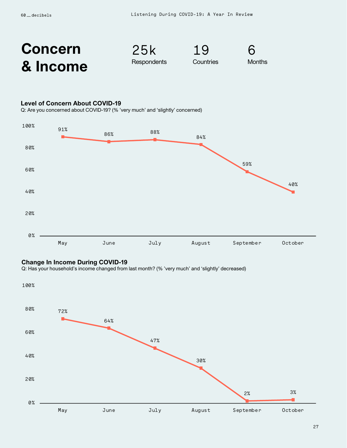

25k **Respondents** 





### **Level of Concern About COVID-19**

Q: Are you concerned about COVID-19? (% 'very much' and 'slightly' concerned)



### **Change In Income During COVID-19**

Q: Has your household's income changed from last month? (% 'very much' and 'slightly' decreased)

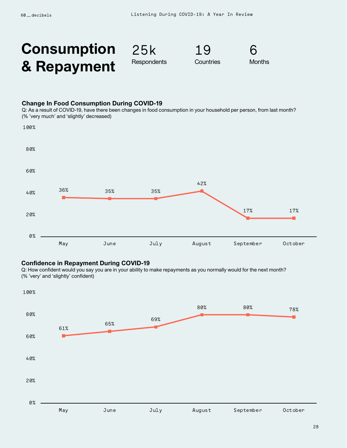## **Consumption & Repayment**

25k **Respondents** 

19 **Countries** 



#### **Change In Food Consumption During COVID-19**

Q: As a result of COVID-19, have there been changes in food consumption in your household per person, from last month? (% 'very much' and 'slightly' decreased)



### **Confidence in Repayment During COVID-19**

Q: How confident would you say you are in your ability to make repayments as you normally would for the next month? (% 'very' and 'slightly' confident)

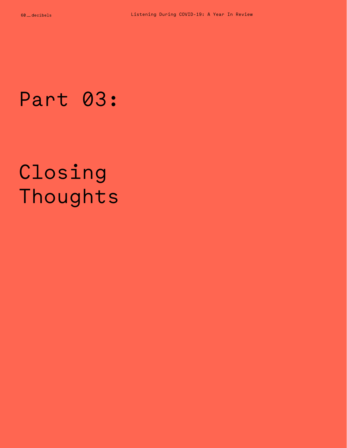# Part 03:

# Closing Thoughts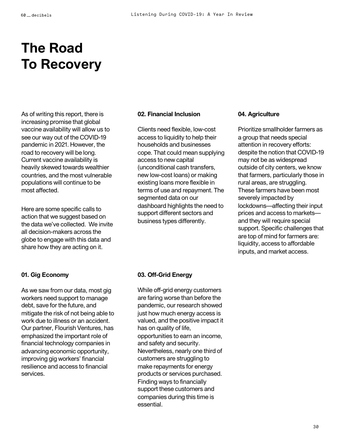## **The Road To Recovery**

As of writing this report, there is increasing promise that global vaccine availability will allow us to see our way out of the COVID-19 pandemic in 2021. However, the road to recovery will be long. Current vaccine availability is heavily skewed towards wealthier countries, and the most vulnerable populations will continue to be most affected.

Here are some specific calls to action that we suggest based on the data we've collected. We invite all decision-makers across the globe to engage with this data and share how they are acting on it.

### **02. Financial Inclusion**

Clients need flexible, low-cost access to liquidity to help their households and businesses cope. That could mean supplying access to new capital (unconditional cash transfers, new low-cost loans) or making existing loans more flexible in terms of use and repayment. The segmented data on our dashboard highlights the need to support different sectors and business types differently.

#### **04. Agriculture**

Prioritize smallholder farmers as a group that needs special attention in recovery efforts: despite the notion that COVID-19 may not be as widespread outside of city centers, we know that farmers, particularly those in rural areas, are struggling. These farmers have been most severely impacted by lockdowns—affecting their input prices and access to markets and they will require special support. Specific challenges that are top of mind for farmers are: liquidity, access to affordable inputs, and market access.

## **01. Gig Economy**

As we saw from our data, most gig workers need support to manage debt, save for the future, and mitigate the risk of not being able to work due to illness or an accident. Our partner, Flourish Ventures, has emphasized the important role of financial technology companies in advancing economic opportunity, improving gig workers' financial resilience and access to financial services.

## **03. Off-Grid Energy**

While off-grid energy customers are faring worse than before the pandemic, our research showed just how much energy access is valued, and the positive impact it has on quality of life, opportunities to earn an income, and safety and security. Nevertheless, nearly one third of customers are struggling to make repayments for energy products or services purchased. Finding ways to financially support these customers and companies during this time is essential.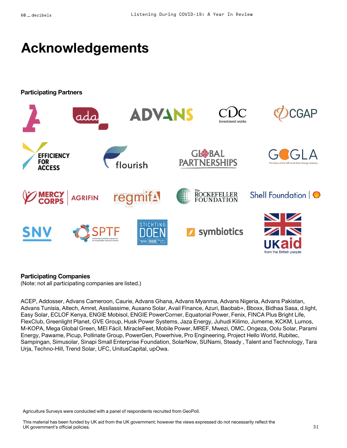## **Acknowledgements**

**Participating Partners**



### **Participating Companies**

(Note: not all participating companies are listed.)

ACEP, Addosser, Advans Cameroon, Caurie, Advans Ghana, Advans Myanma, Advans Nigeria, Advans Pakistan, Advans Tunisia, Altech, Amret, Assilassime, Auxano Solar, Avail Finance, Azuri, Baobab+, Bboxx, Bidhaa Sasa, d.light, Easy Solar, ECLOF Kenya, ENGIE Mobisol, ENGIE PowerCorner, Equatorial Power, Fenix, FINCA Plus Bright Life, FlexClub, Greenlight Planet, GVE Group, Husk Power Systems, Jaza Energy, Juhudi Kilimo, Jumeme, KCKM, Lumos, M-KOPA, Mega Global Green, MEI Fácil, MiracleFeet, Mobile Power, MREF, Mwezi, OMC, Ongeza, Oolu Solar, Parami Energy, Pawame, Picup, Pollinate Group, PowerGen, Powerhive, Pro Engineering, Project Hello World, Rubitec, Sampingan, Simusolar, Sinapi Small Enterprise Foundation, SolarNow, SUNami, Steady , Talent and Technology, Tara Urja, Techno-Hill, Trend Solar, UFC, UnitusCapital, upOwa.

Agriculture Surveys were conducted with a panel of respondents recruited from GeoPoll.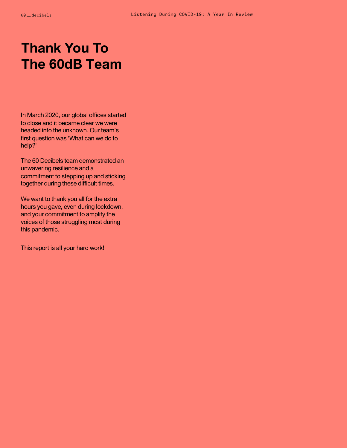## **Thank You To The 60dB Team**

In March 2020, our global offices started to close and it became clear we were headed into the unknown. Our team's first question was 'What can we do to help?'

The 60 Decibels team demonstrated an unwavering resilience and a commitment to stepping up and sticking together during these difficult times.

We want to thank you all for the extra hours you gave, even during lockdown, and your commitment to amplify the voices of those struggling most during this pandemic.

This report is all your hard work!